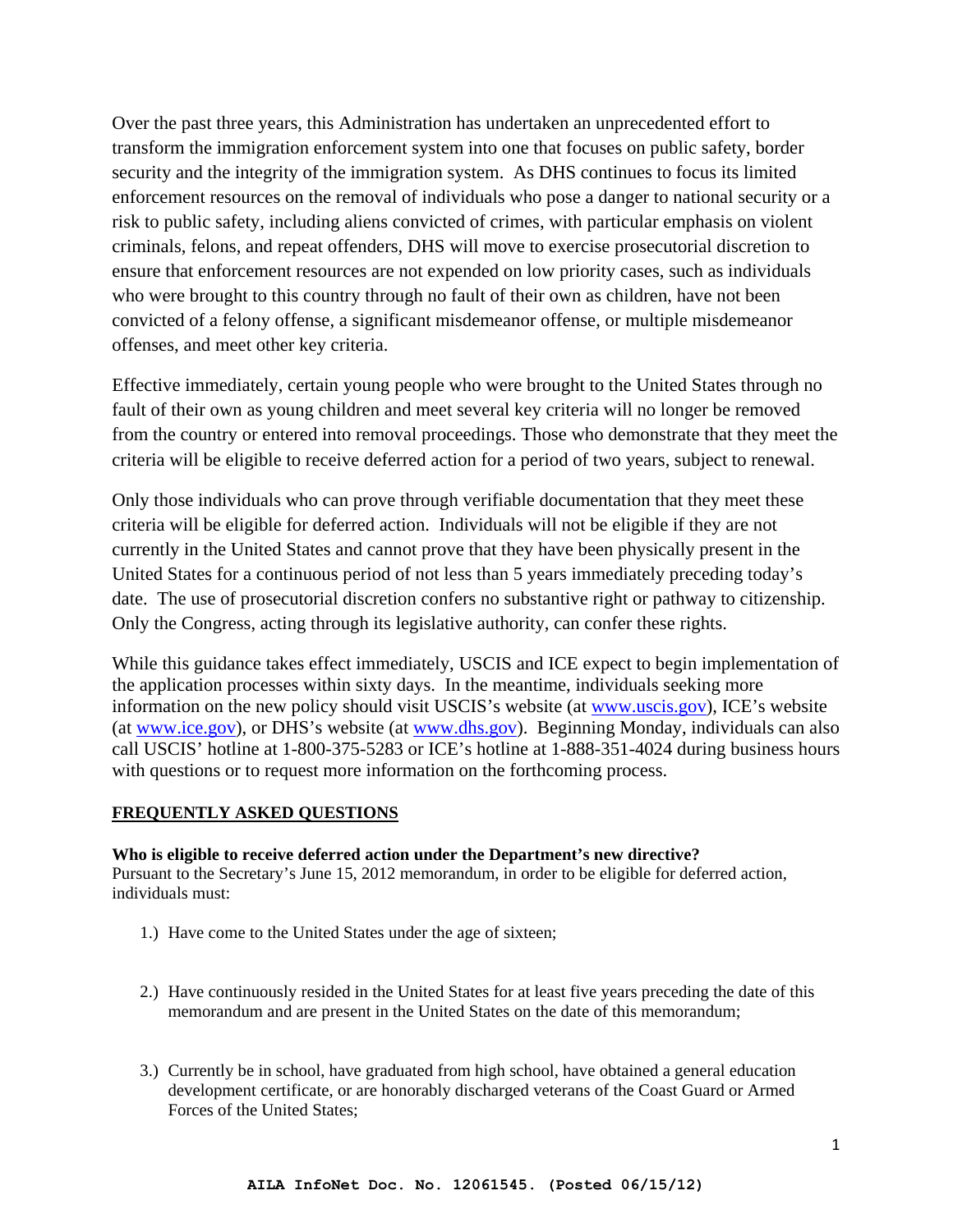Over the past three years, this Administration has undertaken an unprecedented effort to transform the immigration enforcement system into one that focuses on public safety, border security and the integrity of the immigration system. As DHS continues to focus its limited enforcement resources on the removal of individuals who pose a danger to national security or a risk to public safety, including aliens convicted of crimes, with particular emphasis on violent criminals, felons, and repeat offenders, DHS will move to exercise prosecutorial discretion to ensure that enforcement resources are not expended on low priority cases, such as individuals who were brought to this country through no fault of their own as children, have not been convicted of a felony offense, a significant misdemeanor offense, or multiple misdemeanor offenses, and meet other key criteria.

Effective immediately, certain young people who were brought to the United States through no fault of their own as young children and meet several key criteria will no longer be removed from the country or entered into removal proceedings. Those who demonstrate that they meet the criteria will be eligible to receive deferred action for a period of two years, subject to renewal.

Only those individuals who can prove through verifiable documentation that they meet these criteria will be eligible for deferred action. Individuals will not be eligible if they are not currently in the United States and cannot prove that they have been physically present in the United States for a continuous period of not less than 5 years immediately preceding today's date. The use of prosecutorial discretion confers no substantive right or pathway to citizenship. Only the Congress, acting through its legislative authority, can confer these rights.

While this guidance takes effect immediately, USCIS and ICE expect to begin implementation of the application processes within sixty days. In the meantime, individuals seeking more information on the new policy should visit USCIS's website (at www.uscis.gov), ICE's website (at www.ice.gov), or DHS's website (at www.dhs.gov). Beginning Monday, individuals can also call USCIS' hotline at 1-800-375-5283 or ICE's hotline at 1-888-351-4024 during business hours with questions or to request more information on the forthcoming process.

# **FREQUENTLY ASKED QUESTIONS**

## **Who is eligible to receive deferred action under the Department's new directive?**

Pursuant to the Secretary's June 15, 2012 memorandum, in order to be eligible for deferred action, individuals must:

- 1.) Have come to the United States under the age of sixteen;
- 2.) Have continuously resided in the United States for at least five years preceding the date of this memorandum and are present in the United States on the date of this memorandum;
- 3.) Currently be in school, have graduated from high school, have obtained a general education development certificate, or are honorably discharged veterans of the Coast Guard or Armed Forces of the United States;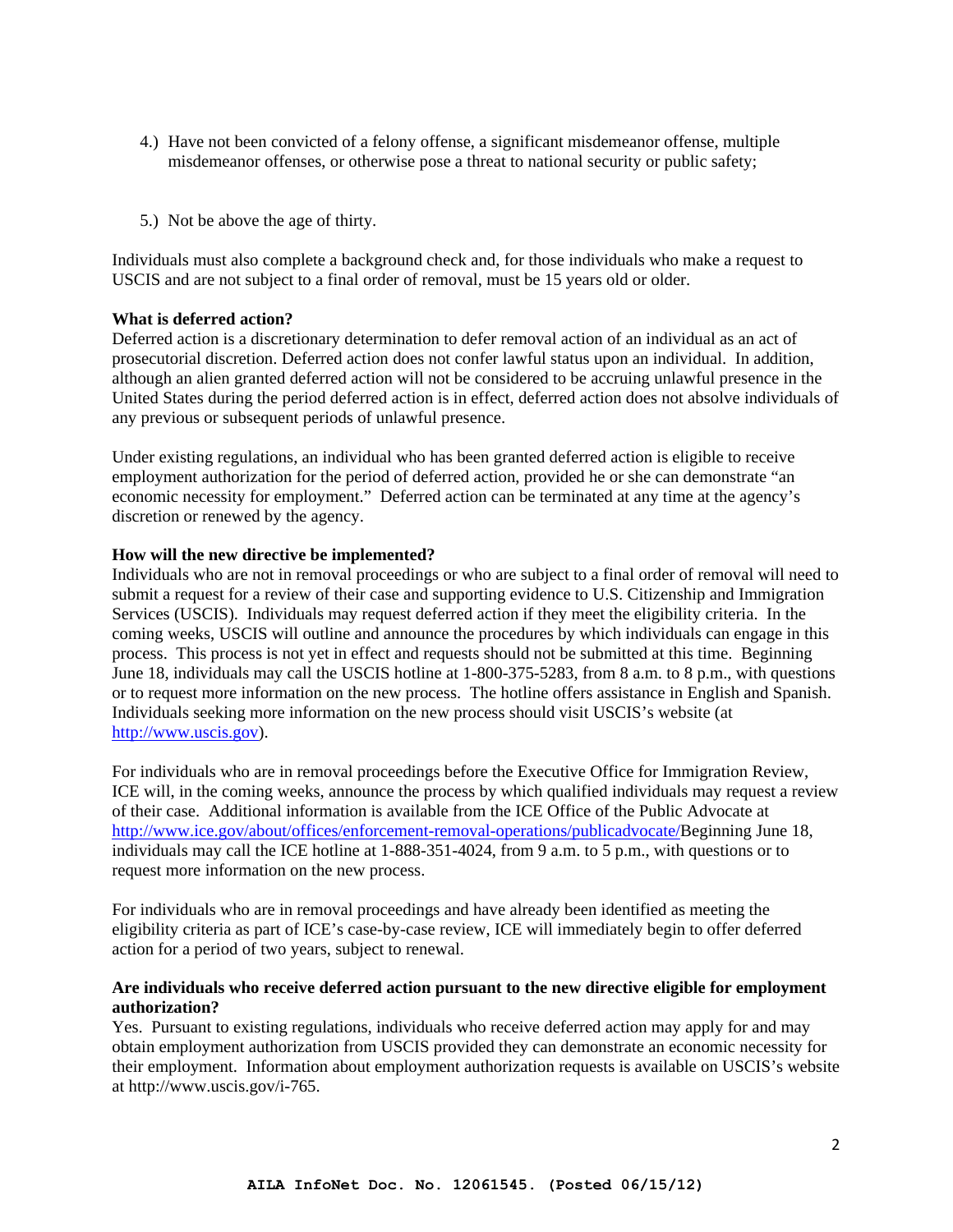- 4.) Have not been convicted of a felony offense, a significant misdemeanor offense, multiple misdemeanor offenses, or otherwise pose a threat to national security or public safety;
- 5.) Not be above the age of thirty.

Individuals must also complete a background check and, for those individuals who make a request to USCIS and are not subject to a final order of removal, must be 15 years old or older.

#### **What is deferred action?**

Deferred action is a discretionary determination to defer removal action of an individual as an act of prosecutorial discretion. Deferred action does not confer lawful status upon an individual. In addition, although an alien granted deferred action will not be considered to be accruing unlawful presence in the United States during the period deferred action is in effect, deferred action does not absolve individuals of any previous or subsequent periods of unlawful presence.

Under existing regulations, an individual who has been granted deferred action is eligible to receive employment authorization for the period of deferred action, provided he or she can demonstrate "an economic necessity for employment." Deferred action can be terminated at any time at the agency's discretion or renewed by the agency.

#### **How will the new directive be implemented?**

Individuals who are not in removal proceedings or who are subject to a final order of removal will need to submit a request for a review of their case and supporting evidence to U.S. Citizenship and Immigration Services (USCIS). Individuals may request deferred action if they meet the eligibility criteria. In the coming weeks, USCIS will outline and announce the procedures by which individuals can engage in this process. This process is not yet in effect and requests should not be submitted at this time. Beginning June 18, individuals may call the USCIS hotline at 1-800-375-5283, from 8 a.m. to 8 p.m., with questions or to request more information on the new process. The hotline offers assistance in English and Spanish. Individuals seeking more information on the new process should visit USCIS's website (at http://www.uscis.gov).

For individuals who are in removal proceedings before the Executive Office for Immigration Review, ICE will, in the coming weeks, announce the process by which qualified individuals may request a review of their case. Additional information is available from the ICE Office of the Public Advocate at http://www.ice.gov/about/offices/enforcement-removal-operations/publicadvocate/Beginning June 18, individuals may call the ICE hotline at 1-888-351-4024, from 9 a.m. to 5 p.m., with questions or to request more information on the new process.

For individuals who are in removal proceedings and have already been identified as meeting the eligibility criteria as part of ICE's case-by-case review, ICE will immediately begin to offer deferred action for a period of two years, subject to renewal.

#### **Are individuals who receive deferred action pursuant to the new directive eligible for employment authorization?**

Yes. Pursuant to existing regulations, individuals who receive deferred action may apply for and may obtain employment authorization from USCIS provided they can demonstrate an economic necessity for their employment. Information about employment authorization requests is available on USCIS's website at http://www.uscis.gov/i-765.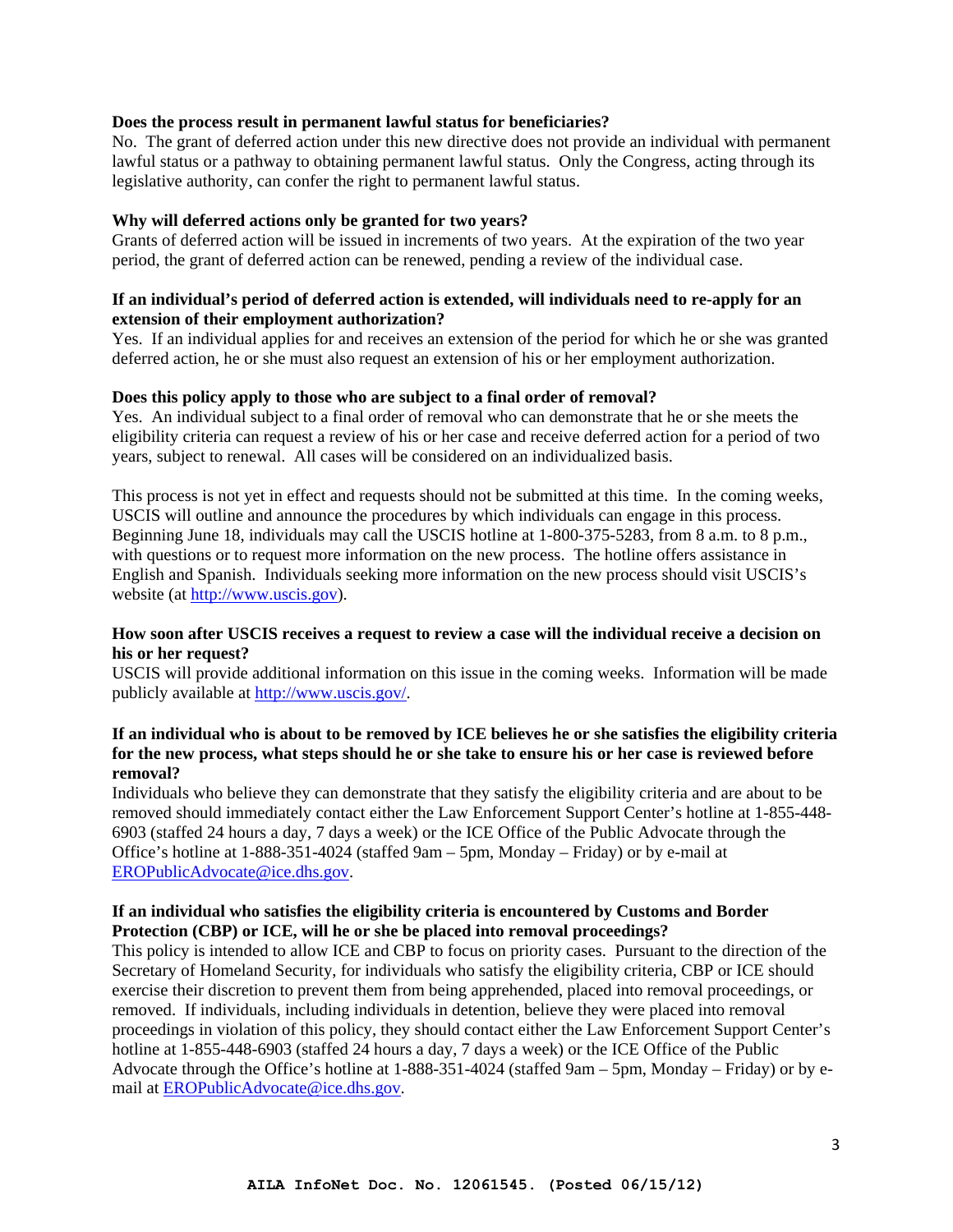#### **Does the process result in permanent lawful status for beneficiaries?**

No. The grant of deferred action under this new directive does not provide an individual with permanent lawful status or a pathway to obtaining permanent lawful status. Only the Congress, acting through its legislative authority, can confer the right to permanent lawful status.

#### **Why will deferred actions only be granted for two years?**

Grants of deferred action will be issued in increments of two years. At the expiration of the two year period, the grant of deferred action can be renewed, pending a review of the individual case.

## **If an individual's period of deferred action is extended, will individuals need to re-apply for an extension of their employment authorization?**

Yes. If an individual applies for and receives an extension of the period for which he or she was granted deferred action, he or she must also request an extension of his or her employment authorization.

#### **Does this policy apply to those who are subject to a final order of removal?**

Yes. An individual subject to a final order of removal who can demonstrate that he or she meets the eligibility criteria can request a review of his or her case and receive deferred action for a period of two years, subject to renewal. All cases will be considered on an individualized basis.

This process is not yet in effect and requests should not be submitted at this time. In the coming weeks, USCIS will outline and announce the procedures by which individuals can engage in this process. Beginning June 18, individuals may call the USCIS hotline at 1-800-375-5283, from 8 a.m. to 8 p.m., with questions or to request more information on the new process. The hotline offers assistance in English and Spanish. Individuals seeking more information on the new process should visit USCIS's website (at http://www.uscis.gov).

## **How soon after USCIS receives a request to review a case will the individual receive a decision on his or her request?**

USCIS will provide additional information on this issue in the coming weeks. Information will be made publicly available at http://www.uscis.gov/.

### **If an individual who is about to be removed by ICE believes he or she satisfies the eligibility criteria for the new process, what steps should he or she take to ensure his or her case is reviewed before removal?**

Individuals who believe they can demonstrate that they satisfy the eligibility criteria and are about to be removed should immediately contact either the Law Enforcement Support Center's hotline at 1-855-448- 6903 (staffed 24 hours a day, 7 days a week) or the ICE Office of the Public Advocate through the Office's hotline at 1-888-351-4024 (staffed 9am – 5pm, Monday – Friday) or by e-mail at EROPublicAdvocate@ice.dhs.gov.

#### **If an individual who satisfies the eligibility criteria is encountered by Customs and Border Protection (CBP) or ICE, will he or she be placed into removal proceedings?**

This policy is intended to allow ICE and CBP to focus on priority cases. Pursuant to the direction of the Secretary of Homeland Security, for individuals who satisfy the eligibility criteria, CBP or ICE should exercise their discretion to prevent them from being apprehended, placed into removal proceedings, or removed. If individuals, including individuals in detention, believe they were placed into removal proceedings in violation of this policy, they should contact either the Law Enforcement Support Center's hotline at 1-855-448-6903 (staffed 24 hours a day, 7 days a week) or the ICE Office of the Public Advocate through the Office's hotline at 1-888-351-4024 (staffed 9am – 5pm, Monday – Friday) or by email at EROPublicAdvocate@ice.dhs.gov.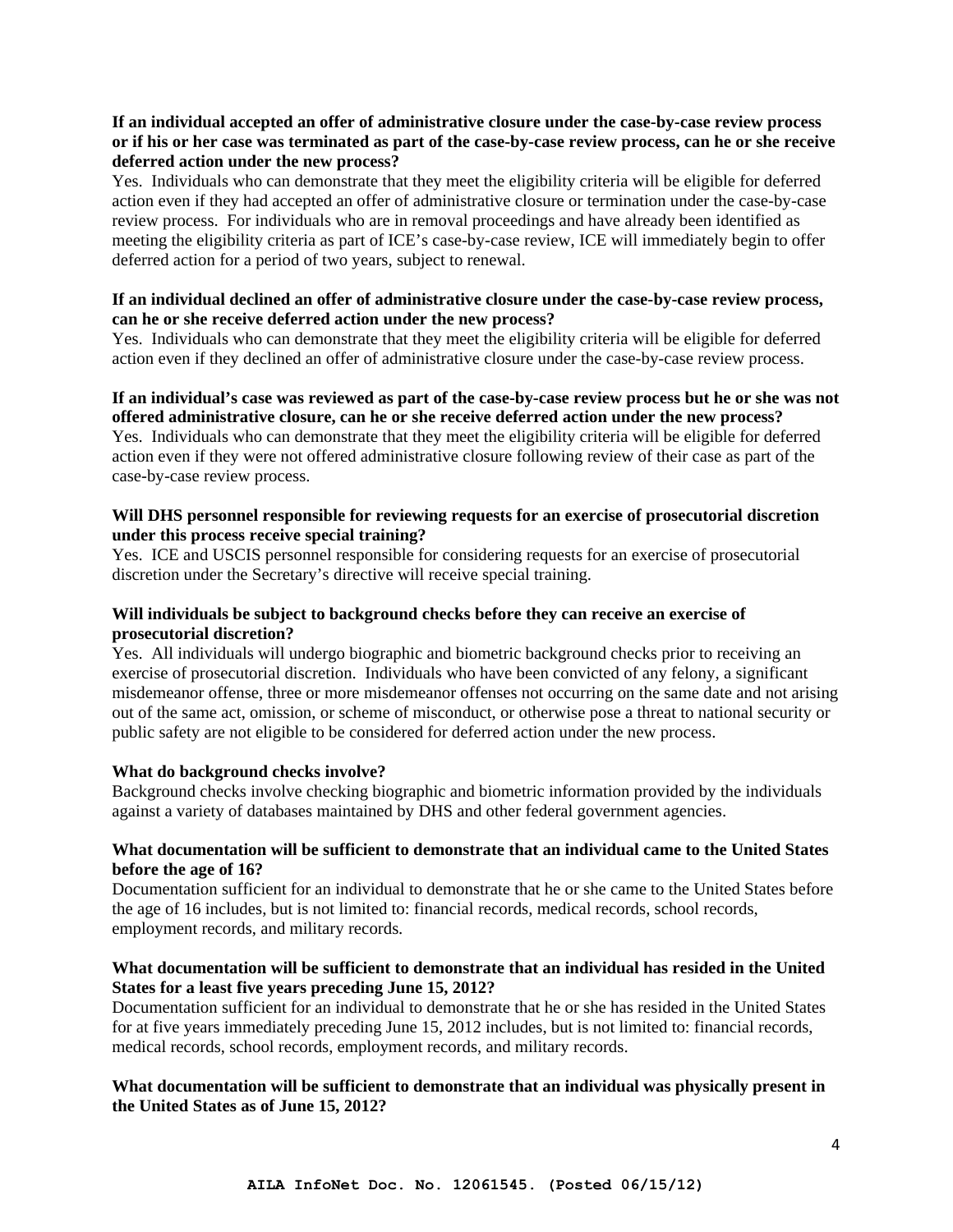## **If an individual accepted an offer of administrative closure under the case-by-case review process or if his or her case was terminated as part of the case-by-case review process, can he or she receive deferred action under the new process?**

Yes. Individuals who can demonstrate that they meet the eligibility criteria will be eligible for deferred action even if they had accepted an offer of administrative closure or termination under the case-by-case review process. For individuals who are in removal proceedings and have already been identified as meeting the eligibility criteria as part of ICE's case-by-case review, ICE will immediately begin to offer deferred action for a period of two years, subject to renewal.

## **If an individual declined an offer of administrative closure under the case-by-case review process, can he or she receive deferred action under the new process?**

Yes. Individuals who can demonstrate that they meet the eligibility criteria will be eligible for deferred action even if they declined an offer of administrative closure under the case-by-case review process.

#### **If an individual's case was reviewed as part of the case-by-case review process but he or she was not offered administrative closure, can he or she receive deferred action under the new process?**

Yes. Individuals who can demonstrate that they meet the eligibility criteria will be eligible for deferred action even if they were not offered administrative closure following review of their case as part of the case-by-case review process.

## **Will DHS personnel responsible for reviewing requests for an exercise of prosecutorial discretion under this process receive special training?**

Yes. ICE and USCIS personnel responsible for considering requests for an exercise of prosecutorial discretion under the Secretary's directive will receive special training.

## **Will individuals be subject to background checks before they can receive an exercise of prosecutorial discretion?**

Yes. All individuals will undergo biographic and biometric background checks prior to receiving an exercise of prosecutorial discretion. Individuals who have been convicted of any felony, a significant misdemeanor offense, three or more misdemeanor offenses not occurring on the same date and not arising out of the same act, omission, or scheme of misconduct, or otherwise pose a threat to national security or public safety are not eligible to be considered for deferred action under the new process.

## **What do background checks involve?**

Background checks involve checking biographic and biometric information provided by the individuals against a variety of databases maintained by DHS and other federal government agencies.

## **What documentation will be sufficient to demonstrate that an individual came to the United States before the age of 16?**

Documentation sufficient for an individual to demonstrate that he or she came to the United States before the age of 16 includes, but is not limited to: financial records, medical records, school records, employment records, and military records.

## **What documentation will be sufficient to demonstrate that an individual has resided in the United States for a least five years preceding June 15, 2012?**

Documentation sufficient for an individual to demonstrate that he or she has resided in the United States for at five years immediately preceding June 15, 2012 includes, but is not limited to: financial records, medical records, school records, employment records, and military records.

## **What documentation will be sufficient to demonstrate that an individual was physically present in the United States as of June 15, 2012?**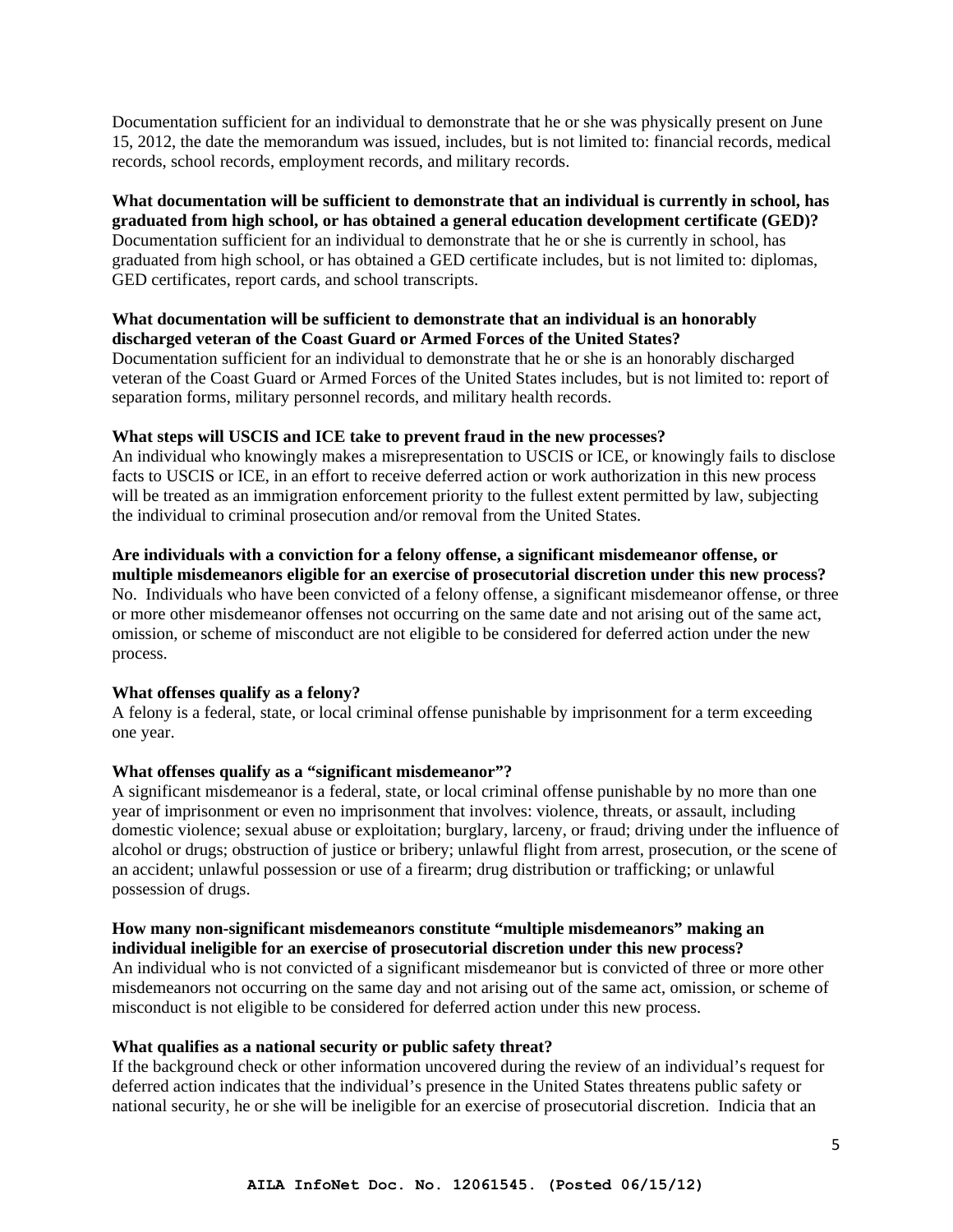Documentation sufficient for an individual to demonstrate that he or she was physically present on June 15, 2012, the date the memorandum was issued, includes, but is not limited to: financial records, medical records, school records, employment records, and military records.

#### **What documentation will be sufficient to demonstrate that an individual is currently in school, has graduated from high school, or has obtained a general education development certificate (GED)?**

Documentation sufficient for an individual to demonstrate that he or she is currently in school, has graduated from high school, or has obtained a GED certificate includes, but is not limited to: diplomas, GED certificates, report cards, and school transcripts.

## **What documentation will be sufficient to demonstrate that an individual is an honorably discharged veteran of the Coast Guard or Armed Forces of the United States?**

Documentation sufficient for an individual to demonstrate that he or she is an honorably discharged veteran of the Coast Guard or Armed Forces of the United States includes, but is not limited to: report of separation forms, military personnel records, and military health records.

## **What steps will USCIS and ICE take to prevent fraud in the new processes?**

An individual who knowingly makes a misrepresentation to USCIS or ICE, or knowingly fails to disclose facts to USCIS or ICE, in an effort to receive deferred action or work authorization in this new process will be treated as an immigration enforcement priority to the fullest extent permitted by law, subjecting the individual to criminal prosecution and/or removal from the United States.

**Are individuals with a conviction for a felony offense, a significant misdemeanor offense, or multiple misdemeanors eligible for an exercise of prosecutorial discretion under this new process?**  No. Individuals who have been convicted of a felony offense, a significant misdemeanor offense, or three or more other misdemeanor offenses not occurring on the same date and not arising out of the same act, omission, or scheme of misconduct are not eligible to be considered for deferred action under the new process.

#### **What offenses qualify as a felony?**

A felony is a federal, state, or local criminal offense punishable by imprisonment for a term exceeding one year.

## **What offenses qualify as a "significant misdemeanor"?**

A significant misdemeanor is a federal, state, or local criminal offense punishable by no more than one year of imprisonment or even no imprisonment that involves: violence, threats, or assault, including domestic violence; sexual abuse or exploitation; burglary, larceny, or fraud; driving under the influence of alcohol or drugs; obstruction of justice or bribery; unlawful flight from arrest, prosecution, or the scene of an accident; unlawful possession or use of a firearm; drug distribution or trafficking; or unlawful possession of drugs.

#### **How many non-significant misdemeanors constitute "multiple misdemeanors" making an individual ineligible for an exercise of prosecutorial discretion under this new process?**

An individual who is not convicted of a significant misdemeanor but is convicted of three or more other misdemeanors not occurring on the same day and not arising out of the same act, omission, or scheme of misconduct is not eligible to be considered for deferred action under this new process.

#### **What qualifies as a national security or public safety threat?**

If the background check or other information uncovered during the review of an individual's request for deferred action indicates that the individual's presence in the United States threatens public safety or national security, he or she will be ineligible for an exercise of prosecutorial discretion. Indicia that an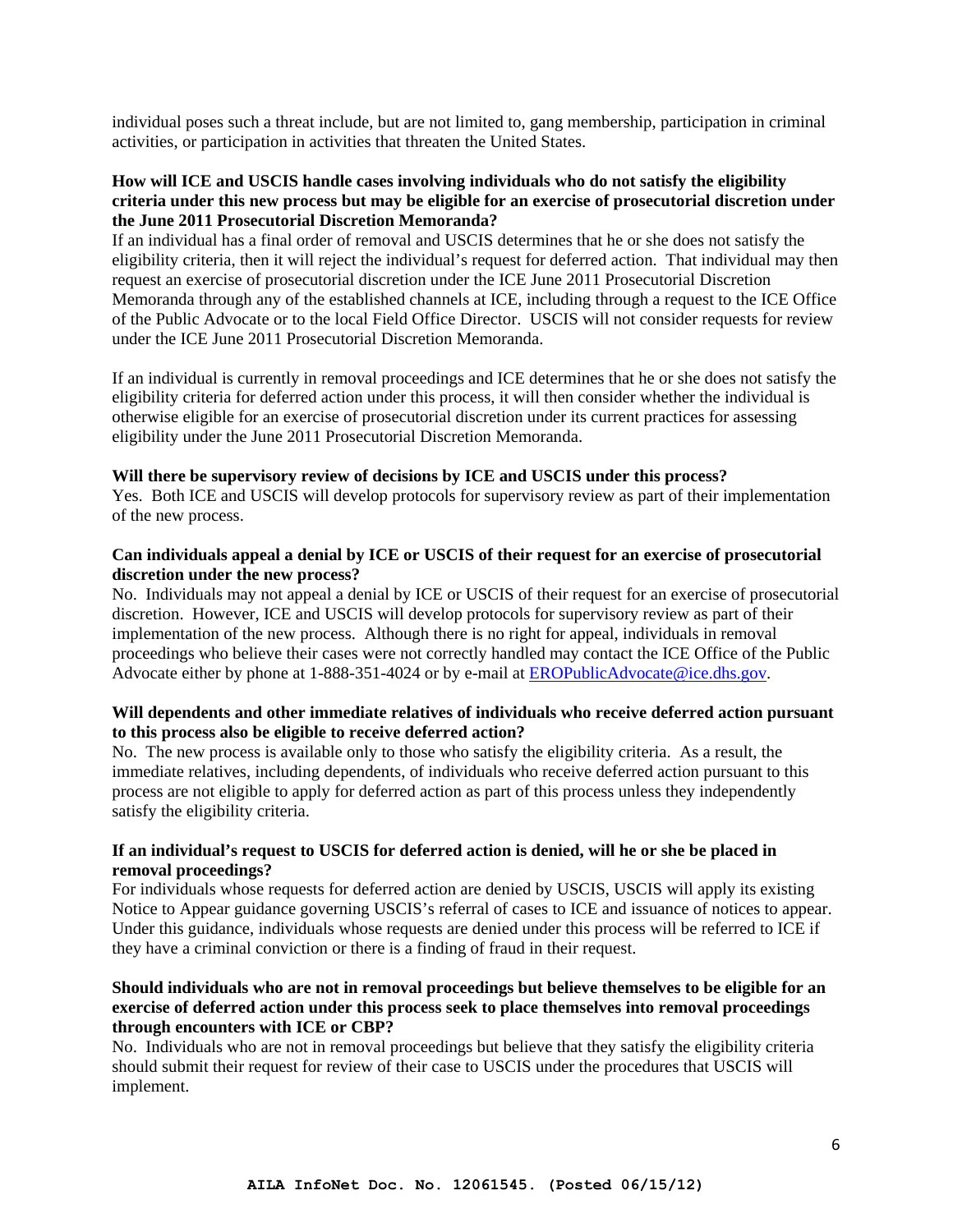individual poses such a threat include, but are not limited to, gang membership, participation in criminal activities, or participation in activities that threaten the United States.

### **How will ICE and USCIS handle cases involving individuals who do not satisfy the eligibility criteria under this new process but may be eligible for an exercise of prosecutorial discretion under the June 2011 Prosecutorial Discretion Memoranda?**

If an individual has a final order of removal and USCIS determines that he or she does not satisfy the eligibility criteria, then it will reject the individual's request for deferred action. That individual may then request an exercise of prosecutorial discretion under the ICE June 2011 Prosecutorial Discretion Memoranda through any of the established channels at ICE, including through a request to the ICE Office of the Public Advocate or to the local Field Office Director. USCIS will not consider requests for review under the ICE June 2011 Prosecutorial Discretion Memoranda.

If an individual is currently in removal proceedings and ICE determines that he or she does not satisfy the eligibility criteria for deferred action under this process, it will then consider whether the individual is otherwise eligible for an exercise of prosecutorial discretion under its current practices for assessing eligibility under the June 2011 Prosecutorial Discretion Memoranda.

#### **Will there be supervisory review of decisions by ICE and USCIS under this process?**

Yes. Both ICE and USCIS will develop protocols for supervisory review as part of their implementation of the new process.

## **Can individuals appeal a denial by ICE or USCIS of their request for an exercise of prosecutorial discretion under the new process?**

No. Individuals may not appeal a denial by ICE or USCIS of their request for an exercise of prosecutorial discretion. However, ICE and USCIS will develop protocols for supervisory review as part of their implementation of the new process. Although there is no right for appeal, individuals in removal proceedings who believe their cases were not correctly handled may contact the ICE Office of the Public Advocate either by phone at 1-888-351-4024 or by e-mail at EROPublicAdvocate@ice.dhs.gov.

## **Will dependents and other immediate relatives of individuals who receive deferred action pursuant to this process also be eligible to receive deferred action?**

No. The new process is available only to those who satisfy the eligibility criteria. As a result, the immediate relatives, including dependents, of individuals who receive deferred action pursuant to this process are not eligible to apply for deferred action as part of this process unless they independently satisfy the eligibility criteria.

#### **If an individual's request to USCIS for deferred action is denied, will he or she be placed in removal proceedings?**

For individuals whose requests for deferred action are denied by USCIS, USCIS will apply its existing Notice to Appear guidance governing USCIS's referral of cases to ICE and issuance of notices to appear. Under this guidance, individuals whose requests are denied under this process will be referred to ICE if they have a criminal conviction or there is a finding of fraud in their request.

## **Should individuals who are not in removal proceedings but believe themselves to be eligible for an exercise of deferred action under this process seek to place themselves into removal proceedings through encounters with ICE or CBP?**

No. Individuals who are not in removal proceedings but believe that they satisfy the eligibility criteria should submit their request for review of their case to USCIS under the procedures that USCIS will implement.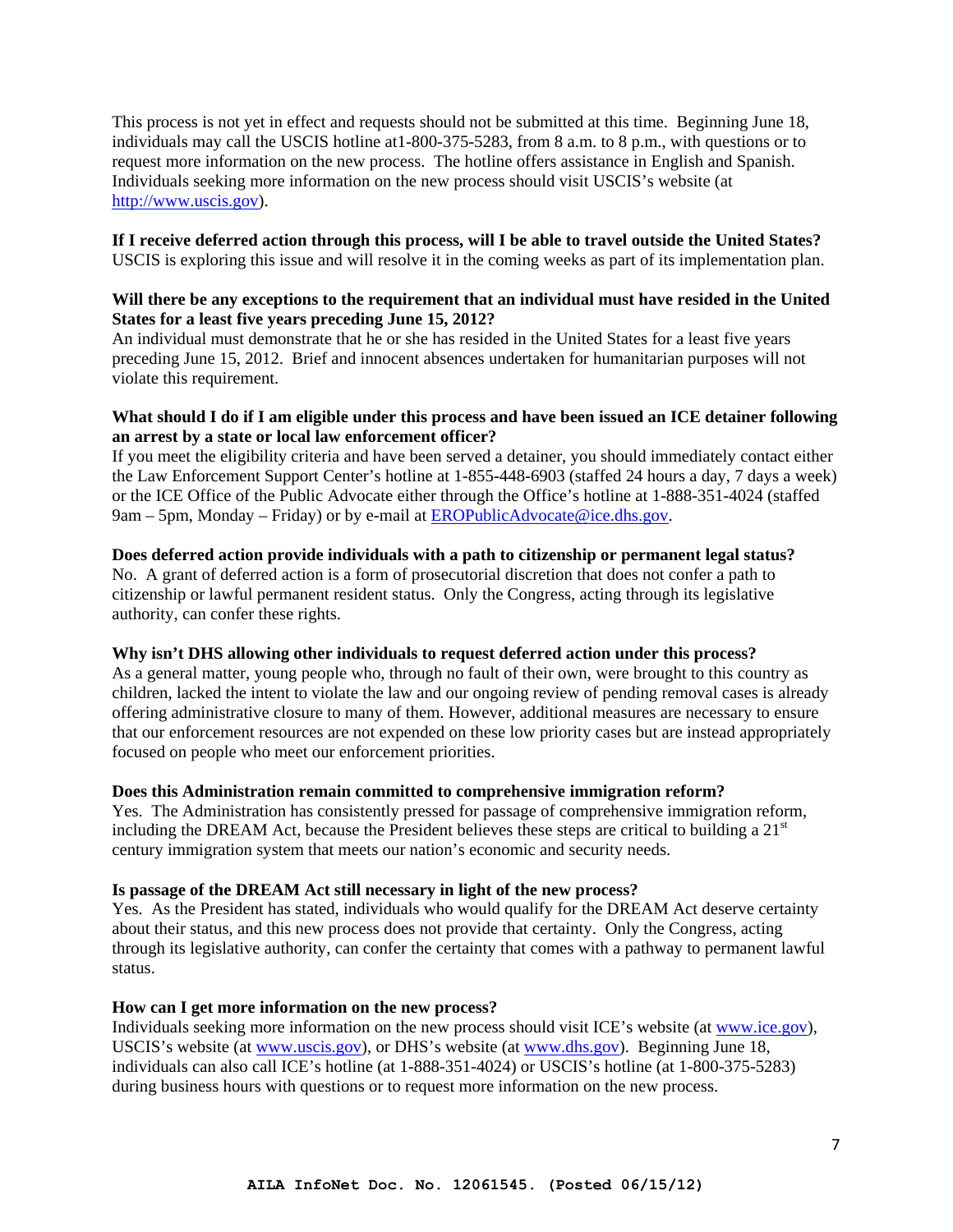This process is not yet in effect and requests should not be submitted at this time. Beginning June 18, individuals may call the USCIS hotline at1-800-375-5283, from 8 a.m. to 8 p.m., with questions or to request more information on the new process. The hotline offers assistance in English and Spanish. Individuals seeking more information on the new process should visit USCIS's website (at http://www.uscis.gov).

#### **If I receive deferred action through this process, will I be able to travel outside the United States?**  USCIS is exploring this issue and will resolve it in the coming weeks as part of its implementation plan.

## **Will there be any exceptions to the requirement that an individual must have resided in the United States for a least five years preceding June 15, 2012?**

An individual must demonstrate that he or she has resided in the United States for a least five years preceding June 15, 2012. Brief and innocent absences undertaken for humanitarian purposes will not violate this requirement.

### **What should I do if I am eligible under this process and have been issued an ICE detainer following an arrest by a state or local law enforcement officer?**

If you meet the eligibility criteria and have been served a detainer, you should immediately contact either the Law Enforcement Support Center's hotline at 1-855-448-6903 (staffed 24 hours a day, 7 days a week) or the ICE Office of the Public Advocate either through the Office's hotline at 1-888-351-4024 (staffed 9am – 5pm, Monday – Friday) or by e-mail at EROPublicAdvocate@ice.dhs.gov.

#### **Does deferred action provide individuals with a path to citizenship or permanent legal status?**

No. A grant of deferred action is a form of prosecutorial discretion that does not confer a path to citizenship or lawful permanent resident status. Only the Congress, acting through its legislative authority, can confer these rights.

## **Why isn't DHS allowing other individuals to request deferred action under this process?**

As a general matter, young people who, through no fault of their own, were brought to this country as children, lacked the intent to violate the law and our ongoing review of pending removal cases is already offering administrative closure to many of them. However, additional measures are necessary to ensure that our enforcement resources are not expended on these low priority cases but are instead appropriately focused on people who meet our enforcement priorities.

## **Does this Administration remain committed to comprehensive immigration reform?**

Yes. The Administration has consistently pressed for passage of comprehensive immigration reform, including the DREAM Act, because the President believes these steps are critical to building a  $21<sup>st</sup>$ century immigration system that meets our nation's economic and security needs.

#### **Is passage of the DREAM Act still necessary in light of the new process?**

Yes. As the President has stated, individuals who would qualify for the DREAM Act deserve certainty about their status, and this new process does not provide that certainty. Only the Congress, acting through its legislative authority, can confer the certainty that comes with a pathway to permanent lawful status.

#### **How can I get more information on the new process?**

Individuals seeking more information on the new process should visit ICE's website (at www.ice.gov), USCIS's website (at www.uscis.gov), or DHS's website (at www.dhs.gov). Beginning June 18, individuals can also call ICE's hotline (at 1-888-351-4024) or USCIS's hotline (at 1-800-375-5283) during business hours with questions or to request more information on the new process.